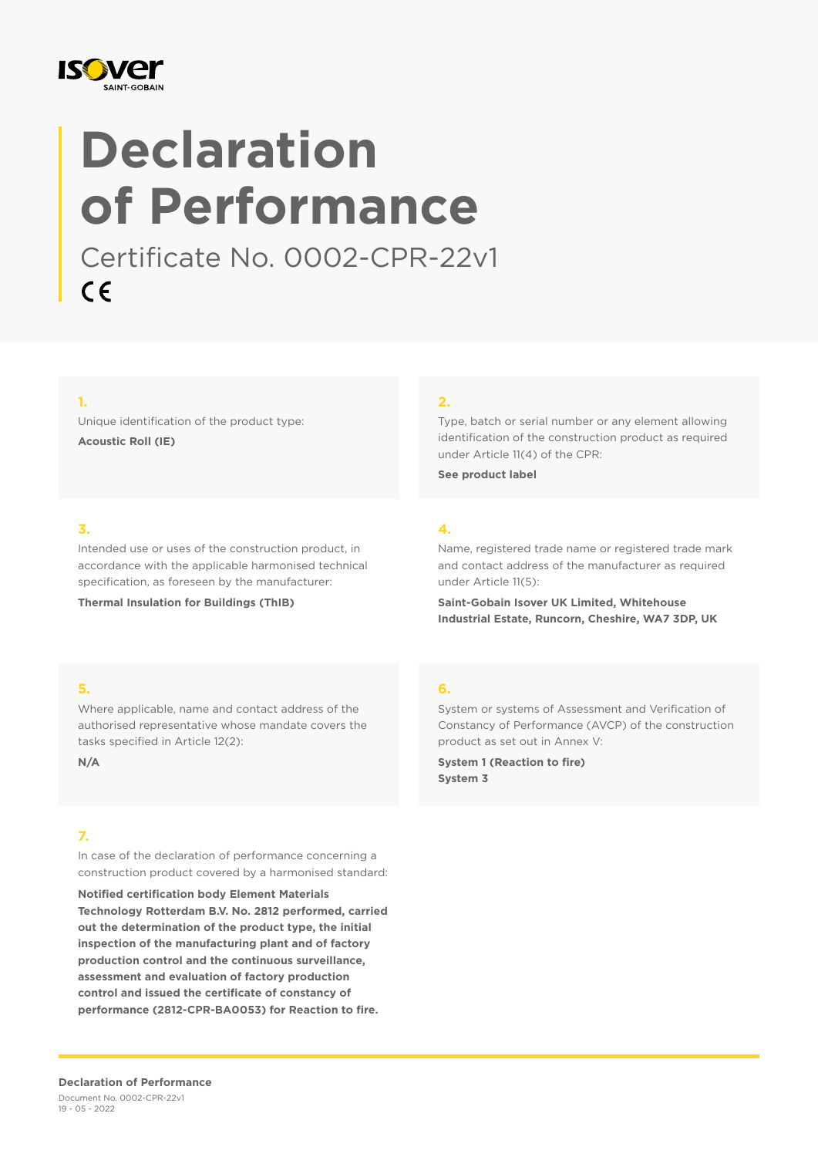

# **Declaration of Performance**

Certificate No. 0002-CPR-22v1  $C \in$ 

#### **1.**

Unique identification of the product type: **Acoustic Roll (IE)**

#### **2.**

Type, batch or serial number or any element allowing identification of the construction product as required under Article 11(4) of the CPR:

**See product label**

### **3.**

Intended use or uses of the construction product, in accordance with the applicable harmonised technical specification, as foreseen by the manufacturer:

**Thermal Insulation for Buildings (ThIB)**

## **4.**

Name, registered trade name or registered trade mark and contact address of the manufacturer as required under Article 11(5):

**Saint-Gobain Isover UK Limited, Whitehouse Industrial Estate, Runcorn, Cheshire, WA7 3DP, UK**

#### **5.**

Where applicable, name and contact address of the authorised representative whose mandate covers the tasks specified in Article 12(2):

**N/A**

### **7.**

In case of the declaration of performance concerning a construction product covered by a harmonised standard:

**Notified certification body Element Materials Technology Rotterdam B.V. No. 2812 performed, carried out the determination of the product type, the initial inspection of the manufacturing plant and of factory production control and the continuous surveillance, assessment and evaluation of factory production control and issued the certificate of constancy of performance (2812-CPR-BA0053) for Reaction to fire.**

#### **6.**

System or systems of Assessment and Verification of Constancy of Performance (AVCP) of the construction product as set out in Annex V:

**System 1 (Reaction to fire) System 3**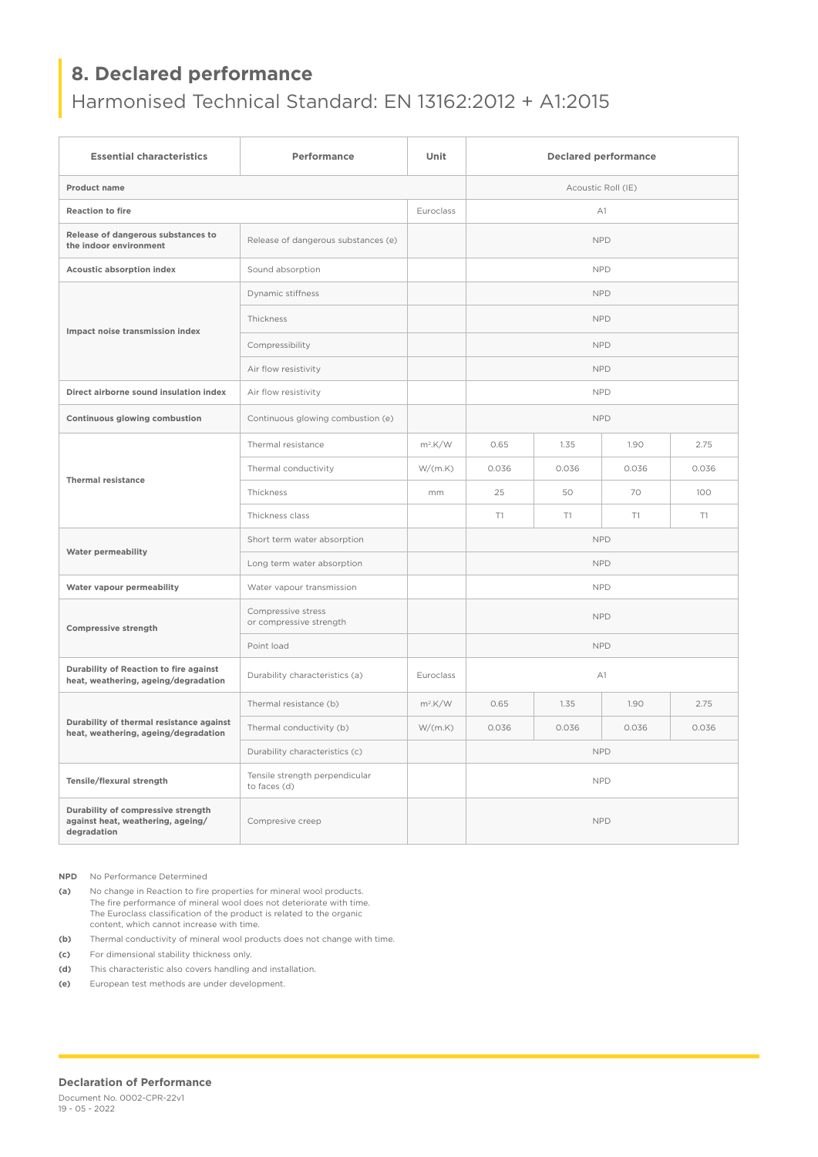# **8. Declared performance**

## Harmonised Technical Standard: EN 13162:2012 + A1:2015

| <b>Essential characteristics</b>                                                       | Performance                                    | Unit       | <b>Declared performance</b> |       |       |       |
|----------------------------------------------------------------------------------------|------------------------------------------------|------------|-----------------------------|-------|-------|-------|
| Product name                                                                           |                                                |            | Acoustic Roll (IE)          |       |       |       |
| <b>Reaction to fire</b>                                                                |                                                | Euroclass  | A1                          |       |       |       |
| Release of dangerous substances to<br>the indoor environment                           | Release of dangerous substances (e)            |            | <b>NPD</b>                  |       |       |       |
| Acoustic absorption index                                                              | Sound absorption                               |            | <b>NPD</b>                  |       |       |       |
| Impact noise transmission index                                                        | Dynamic stiffness                              |            | <b>NPD</b>                  |       |       |       |
|                                                                                        | Thickness                                      |            | <b>NPD</b>                  |       |       |       |
|                                                                                        | Compressibility                                |            | <b>NPD</b>                  |       |       |       |
|                                                                                        | Air flow resistivity                           |            | <b>NPD</b>                  |       |       |       |
| Direct airborne sound insulation index                                                 | Air flow resistivity                           |            | <b>NPD</b>                  |       |       |       |
| Continuous glowing combustion                                                          | Continuous glowing combustion (e)              |            | <b>NPD</b>                  |       |       |       |
| <b>Thermal resistance</b>                                                              | Thermal resistance                             | $m^2$ .K/W | 0.65                        | 1.35  | 1.90  | 2.75  |
|                                                                                        | Thermal conductivity                           | W/(m.K)    | 0.036                       | 0.036 | 0.036 | 0.036 |
|                                                                                        | Thickness                                      | mm         | 25                          | 50    | 70    | 100   |
|                                                                                        | Thickness class                                |            | T1                          | T1    | T1    | T1    |
| <b>Water permeability</b>                                                              | Short term water absorption                    |            | <b>NPD</b>                  |       |       |       |
|                                                                                        | Long term water absorption                     |            | <b>NPD</b>                  |       |       |       |
| Water vapour permeability                                                              | Water vapour transmission                      |            | <b>NPD</b>                  |       |       |       |
| Compressive strength                                                                   | Compressive stress<br>or compressive strength  |            | <b>NPD</b>                  |       |       |       |
|                                                                                        | Point load                                     |            | <b>NPD</b>                  |       |       |       |
| Durability of Reaction to fire against<br>heat, weathering, ageing/degradation         | Durability characteristics (a)                 | Euroclass  | A1                          |       |       |       |
| Durability of thermal resistance against<br>heat, weathering, ageing/degradation       | Thermal resistance (b)                         | $m^2$ .K/W | 0.65                        | 1.35  | 1.90  | 2.75  |
|                                                                                        | Thermal conductivity (b)                       | W/(m.K)    | 0.036                       | 0.036 | 0.036 | 0.036 |
|                                                                                        | Durability characteristics (c)                 |            | <b>NPD</b>                  |       |       |       |
| Tensile/flexural strength                                                              | Tensile strength perpendicular<br>to faces (d) |            | <b>NPD</b>                  |       |       |       |
| Durability of compressive strength<br>against heat, weathering, ageing/<br>degradation | Compresive creep                               |            | <b>NPD</b>                  |       |       |       |

**NPD** No Performance Determined

**(a)** No change in Reaction to fire properties for mineral wool products. The fire performance of mineral wool does not deteriorate with time. The Euroclass classification of the product is related to the organic content, which cannot increase with time.

**(b)** Thermal conductivity of mineral wool products does not change with time.

**(c)** For dimensional stability thickness only.

**(d)** This characteristic also covers handling and installation.

**(e)** European test methods are under development.

#### **Declaration of Performance**

Document No. 0002-CPR-22v1 19 - 05 - 2022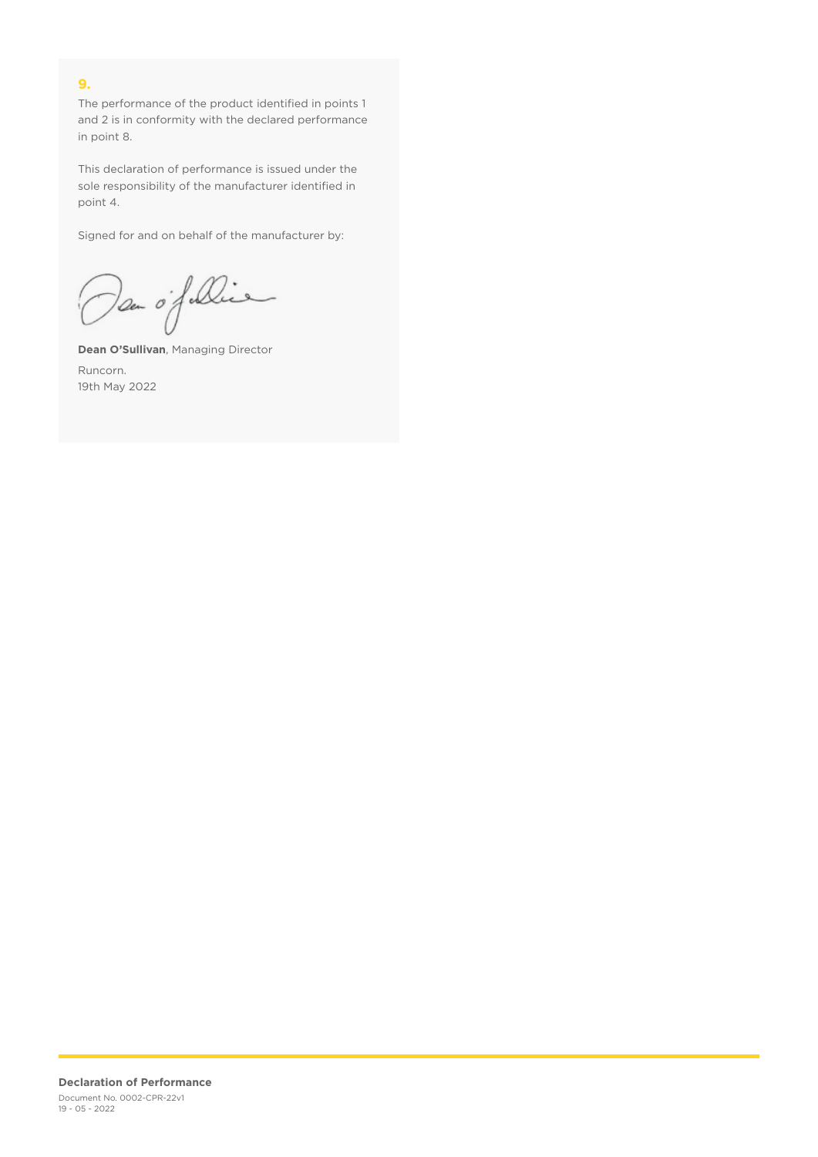## **9.**

The performance of the product identified in points 1 and 2 is in conformity with the declared performance in point 8.

This declaration of performance is issued under the sole responsibility of the manufacturer identified in point 4.

Signed for and on behalf of the manufacturer by:

Dan of Die

**Dean O'Sullivan**, Managing Director Runcorn. 19th May 2022